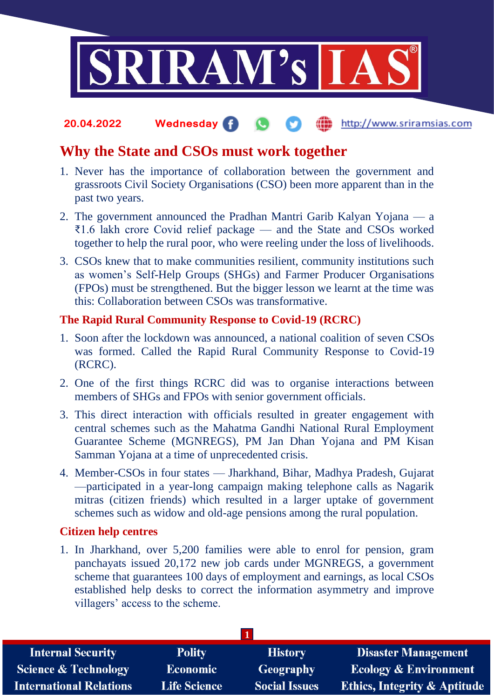

### **20.04.2022 Wednesday** http://www.sriramsias.com

## **Why the State and CSOs must work together**

- 1. Never has the importance of collaboration between the government and grassroots Civil Society Organisations (CSO) been more apparent than in the past two years.
- 2. The government announced the Pradhan Mantri Garib Kalyan Yojana a ₹1.6 lakh crore Covid relief package — and the State and CSOs worked together to help the rural poor, who were reeling under the loss of livelihoods.
- 3. CSOs knew that to make communities resilient, community institutions such as women's Self-Help Groups (SHGs) and Farmer Producer Organisations (FPOs) must be strengthened. But the bigger lesson we learnt at the time was this: Collaboration between CSOs was transformative.

### **The Rapid Rural Community Response to Covid-19 (RCRC)**

- 1. Soon after the lockdown was announced, a national coalition of seven CSOs was formed. Called the Rapid Rural Community Response to Covid-19 (RCRC).
- 2. One of the first things RCRC did was to organise interactions between members of SHGs and FPOs with senior government officials.
- 3. This direct interaction with officials resulted in greater engagement with central schemes such as the Mahatma Gandhi National Rural Employment Guarantee Scheme (MGNREGS), PM Jan Dhan Yojana and PM Kisan Samman Yojana at a time of unprecedented crisis.
- 4. Member-CSOs in four states Jharkhand, Bihar, Madhya Pradesh, Gujarat —participated in a year-long campaign making telephone calls as Nagarik mitras (citizen friends) which resulted in a larger uptake of government schemes such as widow and old-age pensions among the rural population.

## **Citizen help centres**

1. In Jharkhand, over 5,200 families were able to enrol for pension, gram panchayats issued 20,172 new job cards under MGNREGS, a government scheme that guarantees 100 days of employment and earnings, as local CSOs established help desks to correct the information asymmetry and improve villagers' access to the scheme.

| <b>Polity</b>       | <b>History</b>       | <b>Disaster Management</b>              |
|---------------------|----------------------|-----------------------------------------|
| <b>Economic</b>     | Geography            | <b>Ecology &amp; Environment</b>        |
| <b>Life Science</b> | <b>Social Issues</b> | <b>Ethics, Integrity &amp; Aptitude</b> |
|                     |                      |                                         |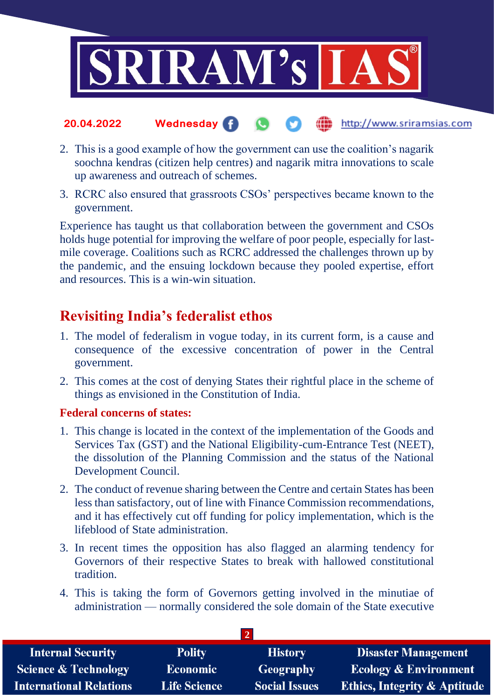

#### the http://www.sriramsias.com **20.04.2022 Wednesday**

- 2. This is a good example of how the government can use the coalition's nagarik soochna kendras (citizen help centres) and nagarik mitra innovations to scale up awareness and outreach of schemes.
- 3. RCRC also ensured that grassroots CSOs' perspectives became known to the government.

Experience has taught us that collaboration between the government and CSOs holds huge potential for improving the welfare of poor people, especially for lastmile coverage. Coalitions such as RCRC addressed the challenges thrown up by the pandemic, and the ensuing lockdown because they pooled expertise, effort and resources. This is a win-win situation.

## **Revisiting India's federalist ethos**

- 1. The model of federalism in vogue today, in its current form, is a cause and consequence of the excessive concentration of power in the Central government.
- 2. This comes at the cost of denying States their rightful place in the scheme of things as envisioned in the Constitution of India.

## **Federal concerns of states:**

- 1. This change is located in the context of the implementation of the Goods and Services Tax (GST) and the National Eligibility-cum-Entrance Test (NEET), the dissolution of the Planning Commission and the status of the National Development Council.
- 2. The conduct of revenue sharing between the Centre and certain States has been less than satisfactory, out of line with Finance Commission recommendations, and it has effectively cut off funding for policy implementation, which is the lifeblood of State administration.
- 3. In recent times the opposition has also flagged an alarming tendency for Governors of their respective States to break with hallowed constitutional tradition.
- 4. This is taking the form of Governors getting involved in the minutiae of administration — normally considered the sole domain of the State executive

| <b>Internal Security</b>        | <b>Polity</b>       | <b>History</b>       | Disaster Management                     |  |  |
|---------------------------------|---------------------|----------------------|-----------------------------------------|--|--|
| <b>Science &amp; Technology</b> | <b>Economic</b>     | Geography            | <b>Ecology &amp; Environment</b>        |  |  |
| <b>International Relations</b>  | <b>Life Science</b> | <b>Social Issues</b> | <b>Ethics, Integrity &amp; Aptitude</b> |  |  |